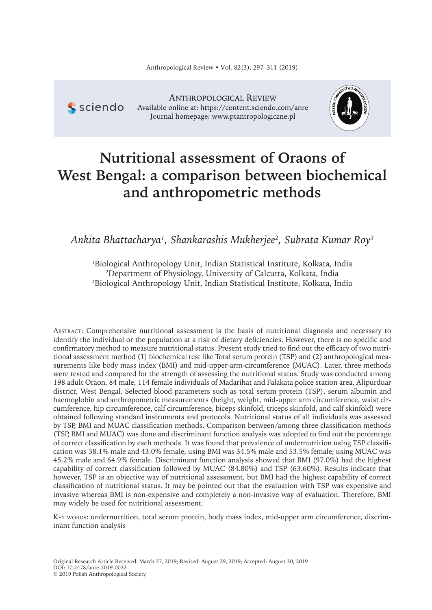**S** sciendo

**ANTHROPOLOGICAL REVIEW** Available online at: https://content.sciendo.com/anre Journal homepage: www.ptantropologiczne.pl



# **Nutritional assessment of Oraons of West Bengal: a comparison between biochemical and anthropometric methods**

*Ankita Bhattacharya<sup>1</sup> , Shankarashis Mukherjee<sup>2</sup> , Subrata Kumar Roy<sup>3</sup>*

<sup>1</sup>Biological Anthropology Unit, Indian Statistical Institute, Kolkata, India <sup>2</sup>Department of Physiology, University of Calcutta, Kolkata, India <sup>3</sup>Biological Anthropology Unit, Indian Statistical Institute, Kolkata, India

AbstrAct: Comprehensive nutritional assessment is the basis of nutritional diagnosis and necessary to identify the individual or the population at a risk of dietary deficiencies. However, there is no specific and confirmatory method to measure nutritional status. Present study tried to find out the efficacy of two nutritional assessment method (1) biochemical test like Total serum protein (TSP) and (2) anthropological measurements like body mass index (BMI) and mid-upper-arm-circumference (MUAC). Later, three methods were tested and compared for the strength of assessing the nutritional status. Study was conducted among 198 adult Oraon, 84 male, 114 female individuals of Madarihat and Falakata police station area, Alipurduar district, West Bengal. Selected blood parameters such as total serum protein (TSP), serum albumin and haemoglobin and anthropometric measurements (height, weight, mid-upper arm circumference, waist circumference, hip circumference, calf circumference, biceps skinfold, triceps skinfold, and calf skinfold) were obtained following standard instruments and protocols. Nutritional status of all individuals was assessed by TSP, BMI and MUAC classification methods. Comparison between/among three classification methods (TSP, BMI and MUAC) was done and discriminant function analysis was adopted to find out the percentage of correct classification by each methods. It was found that prevalence of undernutrition using TSP classification was 38.1% male and 43.0% female; using BMI was 34.5% male and 53.5% female; using MUAC was 45.2% male and 64.9% female. Discriminant function analysis showed that BMI (97.0%) had the highest capability of correct classification followed by MUAC (84.80%) and TSP (63.60%). Results indicate that however, TSP is an objective way of nutritional assessment, but BMI had the highest capability of correct classification of nutritional status. It may be pointed out that the evaluation with TSP was expensive and invasive whereas BMI is non-expensive and completely a non-invasive way of evaluation. Therefore, BMI may widely be used for nutritional assessment.

Key words**:** undernutrition, total serum protein, body mass index, mid-upper arm circumference, discriminant function analysis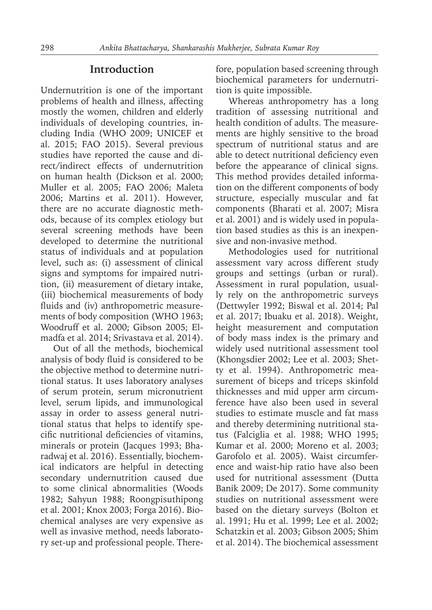### **Introduction**

Undernutrition is one of the important problems of health and illness, affecting mostly the women, children and elderly individuals of developing countries, including India (WHO 2009; UNICEF et al. 2015; FAO 2015). Several previous studies have reported the cause and direct/indirect effects of undernutrition on human health (Dickson et al. 2000; Muller et al. 2005; FAO 2006; Maleta 2006; Martins et al. 2011). However, there are no accurate diagnostic methods, because of its complex etiology but several screening methods have been developed to determine the nutritional status of individuals and at population level, such as: (i) assessment of clinical signs and symptoms for impaired nutrition, (ii) measurement of dietary intake, (iii) biochemical measurements of body fluids and (iv) anthropometric measurements of body composition (WHO 1963; Woodruff et al. 2000; Gibson 2005; Elmadfa et al. 2014; Srivastava et al. 2014).

Out of all the methods, biochemical analysis of body fluid is considered to be the objective method to determine nutritional status. It uses laboratory analyses of serum protein, serum micronutrient level, serum lipids, and immunological assay in order to assess general nutritional status that helps to identify specific nutritional deficiencies of vitamins, minerals or protein (Jacques 1993; Bharadwaj et al. 2016). Essentially, biochemical indicators are helpful in detecting secondary undernutrition caused due to some clinical abnormalities (Woods 1982; Sahyun 1988; Roongpisuthipong et al. 2001; Knox 2003; Forga 2016). Biochemical analyses are very expensive as well as invasive method, needs laboratory set-up and professional people. Therefore, population based screening through biochemical parameters for undernutrition is quite impossible.

Whereas anthropometry has a long tradition of assessing nutritional and health condition of adults. The measurements are highly sensitive to the broad spectrum of nutritional status and are able to detect nutritional deficiency even before the appearance of clinical signs. This method provides detailed information on the different components of body structure, especially muscular and fat components (Bharati et al. 2007; Misra et al. 2001) and is widely used in population based studies as this is an inexpensive and non-invasive method.

Methodologies used for nutritional assessment vary across different study groups and settings (urban or rural). Assessment in rural population, usually rely on the anthropometric surveys (Dettwyler 1992; Biswal et al. 2014; Pal et al. 2017; Ibuaku et al. 2018). Weight, height measurement and computation of body mass index is the primary and widely used nutritional assessment tool (Khongsdier 2002; Lee et al. 2003; Shetty et al. 1994). Anthropometric measurement of biceps and triceps skinfold thicknesses and mid upper arm circumference have also been used in several studies to estimate muscle and fat mass and thereby determining nutritional status (Falciglia et al. 1988; WHO 1995; Kumar et al. 2000; Moreno et al. 2003; Garofolo et al. 2005). Waist circumference and waist-hip ratio have also been used for nutritional assessment (Dutta Banik 2009; De 2017). Some community studies on nutritional assessment were based on the dietary surveys (Bolton et al. 1991; Hu et al. 1999; Lee et al. 2002; Schatzkin et al. 2003; Gibson 2005; Shim et al. 2014). The biochemical assessment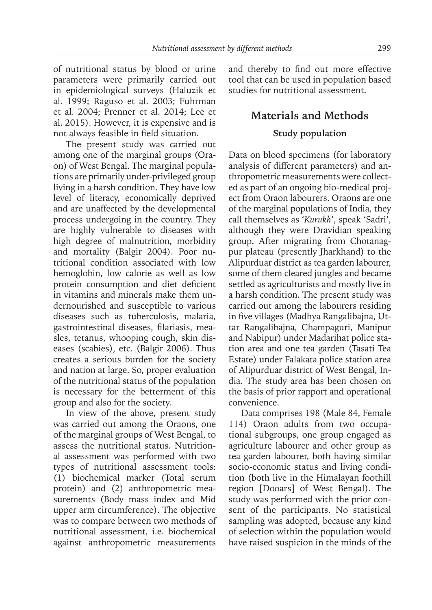of nutritional status by blood or urine parameters were primarily carried out in epidemiological surveys (Haluzik et al. 1999; Raguso et al. 2003; Fuhrman et al. 2004; Prenner et al. 2014; Lee et al. 2015). However, it is expensive and is not always feasible in field situation.

The present study was carried out among one of the marginal groups (Oraon) of West Bengal. The marginal populations are primarily under-privileged group living in a harsh condition. They have low level of literacy, economically deprived and are unaffected by the developmental process undergoing in the country. They are highly vulnerable to diseases with high degree of malnutrition, morbidity and mortality (Balgir 2004). Poor nutritional condition associated with low hemoglobin, low calorie as well as low protein consumption and diet deficient in vitamins and minerals make them undernourished and susceptible to various diseases such as tuberculosis, malaria, gastrointestinal diseases, filariasis, measles, tetanus, whooping cough, skin diseases (scabies), etc. (Balgir 2006). Thus creates a serious burden for the society and nation at large. So, proper evaluation of the nutritional status of the population is necessary for the betterment of this group and also for the society.

In view of the above, present study was carried out among the Oraons, one of the marginal groups of West Bengal, to assess the nutritional status. Nutritional assessment was performed with two types of nutritional assessment tools: (1) biochemical marker (Total serum protein) and (2) anthropometric measurements (Body mass index and Mid upper arm circumference). The objective was to compare between two methods of nutritional assessment, i.e. biochemical against anthropometric measurements

and thereby to find out more effective tool that can be used in population based studies for nutritional assessment.

## **Materials and Methods Study population**

Data on blood specimens (for laboratory analysis of different parameters) and anthropometric measurements were collected as part of an ongoing bio-medical project from Oraon labourers. Oraons are one of the marginal populations of India, they call themselves as '*Kurukh*', speak 'Sadri', although they were Dravidian speaking group. After migrating from Chotanagpur plateau (presently Jharkhand) to the Alipurduar district as tea garden labourer, some of them cleared jungles and became settled as agriculturists and mostly live in a harsh condition. The present study was carried out among the labourers residing in five villages (Madhya Rangalibajna, Uttar Rangalibajna, Champaguri, Manipur and Nabipur) under Madarihat police station area and one tea garden (Tasati Tea Estate) under Falakata police station area of Alipurduar district of West Bengal, India. The study area has been chosen on the basis of prior rapport and operational convenience.

Data comprises 198 (Male 84, Female 114) Oraon adults from two occupational subgroups, one group engaged as agriculture labourer and other group as tea garden labourer, both having similar socio-economic status and living condition (both live in the Himalayan foothill region [Dooars] of West Bengal). The study was performed with the prior consent of the participants. No statistical sampling was adopted, because any kind of selection within the population would have raised suspicion in the minds of the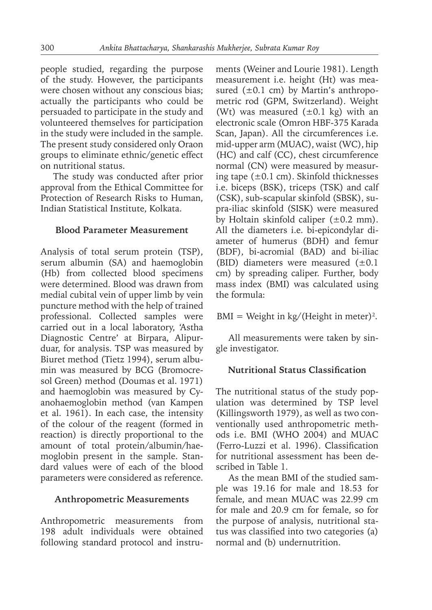people studied, regarding the purpose of the study. However, the participants were chosen without any conscious bias; actually the participants who could be persuaded to participate in the study and volunteered themselves for participation in the study were included in the sample. The present study considered only Oraon groups to eliminate ethnic/genetic effect on nutritional status.

The study was conducted after prior approval from the Ethical Committee for Protection of Research Risks to Human, Indian Statistical Institute, Kolkata.

#### **Blood Parameter Measurement**

Analysis of total serum protein (TSP), serum albumin (SA) and haemoglobin (Hb) from collected blood specimens were determined. Blood was drawn from medial cubital vein of upper limb by vein puncture method with the help of trained professional. Collected samples were carried out in a local laboratory, 'Astha Diagnostic Centre' at Birpara, Alipurduar, for analysis. TSP was measured by Biuret method (Tietz 1994), serum albumin was measured by BCG (Bromocresol Green) method (Doumas et al. 1971) and haemoglobin was measured by Cyanohaemoglobin method (van Kampen et al. 1961). In each case, the intensity of the colour of the reagent (formed in reaction) is directly proportional to the amount of total protein/albumin/haemoglobin present in the sample. Standard values were of each of the blood parameters were considered as reference.

#### **Anthropometric Measurements**

Anthropometric measurements from 198 adult individuals were obtained following standard protocol and instruments (Weiner and Lourie 1981). Length measurement i.e. height (Ht) was measured  $(\pm 0.1 \text{ cm})$  by Martin's anthropometric rod (GPM, Switzerland). Weight (Wt) was measured  $(\pm 0.1 \text{ kg})$  with an electronic scale (Omron HBF-375 Karada Scan, Japan). All the circumferences i.e. mid-upper arm (MUAC), waist (WC), hip (HC) and calf (CC), chest circumference normal (CN) were measured by measuring tape  $(\pm 0.1 \text{ cm})$ . Skinfold thicknesses i.e. biceps (BSK), triceps (TSK) and calf (CSK), sub-scapular skinfold (SBSK), supra-iliac skinfold (SISK) were measured by Holtain skinfold caliper  $(\pm 0.2 \text{ mm})$ . All the diameters i.e. bi-epicondylar diameter of humerus (BDH) and femur (BDF), bi-acromial (BAD) and bi-iliac (BID) diameters were measured  $(\pm 0.1)$ cm) by spreading caliper. Further, body mass index (BMI) was calculated using the formula:

#### $BMI = Weight in kg/(Height in meter)<sup>2</sup>.$

All measurements were taken by single investigator.

#### **Nutritional Status Classification**

The nutritional status of the study population was determined by TSP level (Killingsworth 1979), as well as two conventionally used anthropometric methods i.e. BMI (WHO 2004) and MUAC (Ferro-Luzzi et al. 1996). Classification for nutritional assessment has been described in Table 1.

As the mean BMI of the studied sample was 19.16 for male and 18.53 for female, and mean MUAC was 22.99 cm for male and 20.9 cm for female, so for the purpose of analysis, nutritional status was classified into two categories (a) normal and (b) undernutrition.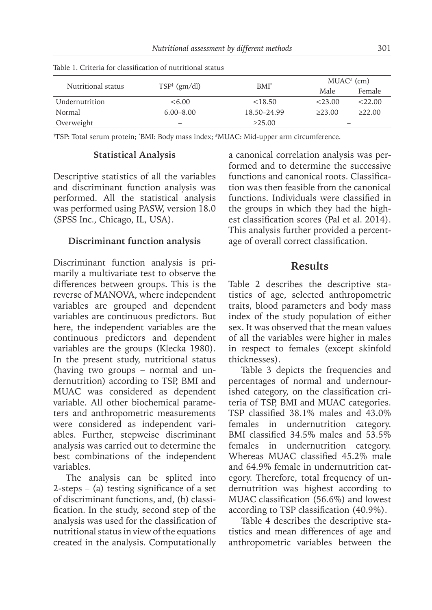|                    |                         | $BMI^*$     |         | $MUAC^*$ (cm)            |
|--------------------|-------------------------|-------------|---------|--------------------------|
| Nutritional status | $TSP^{\dagger}$ (gm/dl) |             | Male    | Female                   |
| Undernutrition     | <6.00                   | < 18.50     | < 23.00 | <22.00                   |
| Normal             | $6.00 - 8.00$           | 18.50–24.99 | >23.00  | >22.00                   |
| Overweight         | -                       | >25.00      |         | $\overline{\phantom{a}}$ |

Table 1. Criteria for classification of nutritional status

†TSP: Total serum protein; \*BMI: Body mass index; #MUAC: Mid-upper arm circumference.

#### **Statistical Analysis**

Descriptive statistics of all the variables and discriminant function analysis was performed. All the statistical analysis was performed using PASW, version 18.0 (SPSS Inc., Chicago, IL, USA).

#### **Discriminant function analysis**

Discriminant function analysis is primarily a multivariate test to observe the differences between groups. This is the reverse of MANOVA, where independent variables are grouped and dependent variables are continuous predictors. But here, the independent variables are the continuous predictors and dependent variables are the groups (Klecka 1980). In the present study, nutritional status (having two groups – normal and undernutrition) according to TSP, BMI and MUAC was considered as dependent variable. All other biochemical parameters and anthropometric measurements were considered as independent variables. Further, stepweise discriminant analysis was carried out to determine the best combinations of the independent variables.

The analysis can be splited into 2-steps – (a) testing significance of a set of discriminant functions, and, (b) classification. In the study, second step of the analysis was used for the classification of nutritional status in view of the equations created in the analysis. Computationally

a canonical correlation analysis was performed and to determine the successive functions and canonical roots. Classification was then feasible from the canonical functions. Individuals were classified in the groups in which they had the highest classification scores (Pal et al. 2014). This analysis further provided a percentage of overall correct classification.

## **Results**

Table 2 describes the descriptive statistics of age, selected anthropometric traits, blood parameters and body mass index of the study population of either sex. It was observed that the mean values of all the variables were higher in males in respect to females (except skinfold thicknesses).

Table 3 depicts the frequencies and percentages of normal and undernourished category, on the classification criteria of TSP, BMI and MUAC categories. TSP classified 38.1% males and 43.0% females in undernutrition category. BMI classified 34.5% males and 53.5% females in undernutrition category. Whereas MUAC classified 45.2% male and 64.9% female in undernutrition category. Therefore, total frequency of undernutrition was highest according to MUAC classification (56.6%) and lowest according to TSP classification (40.9%).

Table 4 describes the descriptive statistics and mean differences of age and anthropometric variables between the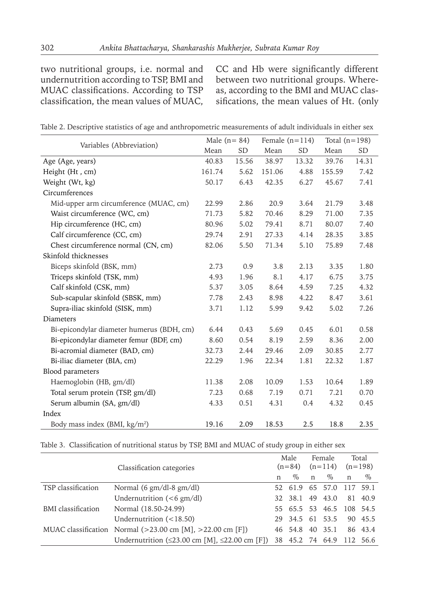two nutritional groups, i.e. normal and undernutrition according to TSP, BMI and MUAC classifications. According to TSP classification, the mean values of MUAC, CC and Hb were significantly different between two nutritional groups. Whereas, according to the BMI and MUAC classifications, the mean values of Ht. (only

|  |  | Table 2. Descriptive statistics of age and anthropometric measurements of adult individuals in either sex |  |  |
|--|--|-----------------------------------------------------------------------------------------------------------|--|--|
|  |  |                                                                                                           |  |  |

| Variables (Abbreviation)                  | Male $(n=84)$ |       | Female $(n=114)$ |       | Total $(n=198)$ |       |
|-------------------------------------------|---------------|-------|------------------|-------|-----------------|-------|
|                                           | Mean          | SD.   | Mean             | SD    | Mean            | SD.   |
| Age (Age, years)                          | 40.83         | 15.56 | 38.97            | 13.32 | 39.76           | 14.31 |
| Height (Ht, cm)                           | 161.74        | 5.62  | 151.06           | 4.88  | 155.59          | 7.42  |
| Weight (Wt, kg)                           | 50.17         | 6.43  | 42.35            | 6.27  | 45.67           | 7.41  |
| Circumferences                            |               |       |                  |       |                 |       |
| Mid-upper arm circumference (MUAC, cm)    | 22.99         | 2.86  | 20.9             | 3.64  | 21.79           | 3.48  |
| Waist circumference (WC, cm)              | 71.73         | 5.82  | 70.46            | 8.29  | 71.00           | 7.35  |
| Hip circumference (HC, cm)                | 80.96         | 5.02  | 79.41            | 8.71  | 80.07           | 7.40  |
| Calf circumference (CC, cm)               | 29.74         | 2.91  | 27.33            | 4.14  | 28.35           | 3.85  |
| Chest circumference normal (CN, cm)       | 82.06         | 5.50  | 71.34            | 5.10  | 75.89           | 7.48  |
| Skinfold thicknesses                      |               |       |                  |       |                 |       |
| Biceps skinfold (BSK, mm)                 | 2.73          | 0.9   | 3.8              | 2.13  | 3.35            | 1.80  |
| Triceps skinfold (TSK, mm)                | 4.93          | 1.96  | 8.1              | 4.17  | 6.75            | 3.75  |
| Calf skinfold (CSK, mm)                   | 5.37          | 3.05  | 8.64             | 4.59  | 7.25            | 4.32  |
| Sub-scapular skinfold (SBSK, mm)          | 7.78          | 2.43  | 8.98             | 4.22  | 8.47            | 3.61  |
| Supra-iliac skinfold (SISK, mm)           | 3.71          | 1.12  | 5.99             | 9.42  | 5.02            | 7.26  |
| Diameters                                 |               |       |                  |       |                 |       |
| Bi-epicondylar diameter humerus (BDH, cm) | 6.44          | 0.43  | 5.69             | 0.45  | 6.01            | 0.58  |
| Bi-epicondylar diameter femur (BDF, cm)   | 8.60          | 0.54  | 8.19             | 2.59  | 8.36            | 2.00  |
| Bi-acromial diameter (BAD, cm)            | 32.73         | 2.44  | 29.46            | 2.09  | 30.85           | 2.77  |
| Bi-iliac diameter (BIA, cm)               | 22.29         | 1.96  | 22.34            | 1.81  | 22.32           | 1.87  |
| Blood parameters                          |               |       |                  |       |                 |       |
| Haemoglobin (HB, gm/dl)                   | 11.38         | 2.08  | 10.09            | 1.53  | 10.64           | 1.89  |
| Total serum protein (TSP, gm/dl)          | 7.23          | 0.68  | 7.19             | 0.71  | 7.21            | 0.70  |
| Serum albumin (SA, gm/dl)                 | 4.33          | 0.51  | 4.31             | 0.4   | 4.32            | 0.45  |
| Index                                     |               |       |                  |       |                 |       |
| Body mass index (BMI, kg/m <sup>2</sup> ) | 19.16         | 2.09  | 18.53            | 2.5   | 18.8            | 2.35  |

| Table 3.  Classification of nutritional status by TSP, BMI and MUAC of study group in either sex |  |  |  |  |  |  |
|--------------------------------------------------------------------------------------------------|--|--|--|--|--|--|
|--------------------------------------------------------------------------------------------------|--|--|--|--|--|--|

|                           | Classification categories                                                               |    | Male<br>$(n=84)$         | Female<br>$(n=114)$ |      |             | Total<br>$(n=198)$ |
|---------------------------|-----------------------------------------------------------------------------------------|----|--------------------------|---------------------|------|-------------|--------------------|
|                           |                                                                                         | n  | $\%$                     | $\mathbf n$         | $\%$ | $\mathbf n$ | $\%$               |
| TSP classification        | Normal $(6 \text{ gm}/\text{dl-8 gm}/\text{dl})$                                        |    | 52 61.9 65 57.0          |                     |      | 117 59.1    |                    |
|                           | Undernutrition $(< 6 \text{ gm/dl})$                                                    |    | 32 38.1 49 43.0          |                     |      |             | 81 40.9            |
| <b>BMI</b> classification | Normal (18.50-24.99)                                                                    |    | 55 65.5 53 46.5 108 54.5 |                     |      |             |                    |
|                           | Undernutrition $(<18.50)$                                                               |    | 29 34.5 61 53.5          |                     |      |             | 90 45.5            |
|                           | MUAC classification Normal $(>23.00 \text{ cm } [M], >22.00 \text{ cm } [F])$           |    | 46 54.8 40 35.1          |                     |      |             | 86 43.4            |
|                           | Undernutrition $(\leq 23.00 \text{ cm} \text{ [M]}, \leq 22.00 \text{ cm} \text{ [F]})$ | 38 | 45.2 74 64.9             |                     |      |             | 112 56.6           |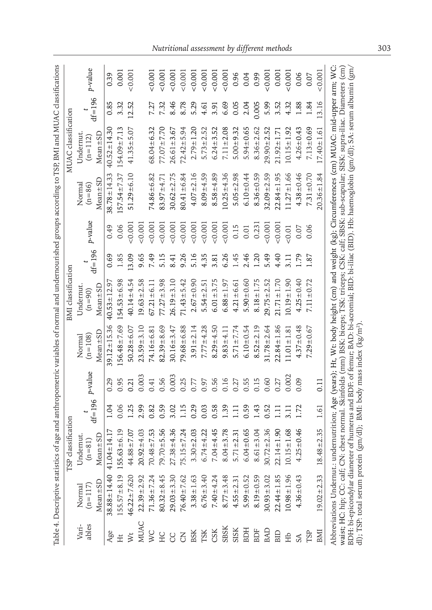|                                              |                    |                   |                     | BMI classification     |            |          |                      | MUAC classification   |            |         |
|----------------------------------------------|--------------------|-------------------|---------------------|------------------------|------------|----------|----------------------|-----------------------|------------|---------|
| Undernut.<br>$(n=81)$<br>$(n=117)$<br>Normal | TSP classification | p-value           | $(n=108)$<br>Normal | Undernut<br>$(n = 90)$ |            | p-value  | Normal<br>$(n = 86)$ | Undernut<br>$(n=112)$ |            | p-value |
| $Mean \pm SD$<br>$Mean \pm SD$               | $df = 196$         |                   | $Mean \pm SL$       | $Mean \pm SD$          | $df = 196$ |          | $Mean \pm SD$        | $Mean \pm SD$         | $df = 196$ |         |
| $41.04 \pm 14.17$<br>$38.88 \pm 14.40$       | 1.04               | 0.29              | $39.12 \pm 15.36$   | $40.53 \pm 12.97$      | 0.69       | 0.49     | $38.78 \pm 14.33$    | $40.52 \pm 14.30$     | 0.85       | 0.39    |
| $55.63 \pm 6.19$<br>$155.57 \pm 8.19$        | 0.06               | 0.95              | $56.48 \pm 7.69$    | $154.53 + 6.98$        | 1.85       | 0.06     | $57.54 + 7.37$       | 154.09 ± 7.13         | 3.32       | 0.001   |
| $44.88 \pm 7.07$<br>$46.22 \pm 7.620$        | 1.25               | 0.21              | $50.28 \pm 6.07$    | $40.14 \pm 4.54$       | 13.09      | 0.001    | $51.29 \pm 6.10$     | $41.35 \pm 5.07$      | 12.52      | 0.001   |
| $20.92 \pm 4.03$<br>$22.39 + 2.92$           | 2.99               | 0.003             | $23.59 + 3.10$      | $19.63 + 2.58$         | 9.65       | 0.001    |                      |                       |            |         |
| $70.48 + 7.53$<br>$71.36 \pm 7.24$           | 0.82               | 0.41              | $74.16 \pm 6.81$    | $67.21 \pm 6.11$       | 7.49       | 0.001    | $74.86 \pm 6.82$     | $58.04 \pm 6.32$      | 7.27       | 0.001   |
| $79.70 + 5.56$<br>$80.32 + 8.45$             | 0.59               | 0.56              | $82.39 + 8.69$      | $77.27 \pm 3.98$       | 5.15       | 0.001    | $83.97 + 4.71$       | $77.07 + 7.70$        | 7.32       | 0.001   |
| $27.38 + 4.36$<br>$29.03 + 3.30$             | 3.02               | 0.003             | $30.16 \pm 3.47$    | $26.19 + 3.10$         | 8.41       | 0.001    | $30.62 \pm 2.75$     | $26.61 \pm 3.67$      | 8.46       | 0.001   |
| $75.15 \pm 7.24$<br>$76.40 \pm 7.62$         | 1.15               | 0.25              | $79.68 + 6.88$      | $71.43 + 5.42$         | 9.26       | 0.001    | $80.41 \pm 6.84$     | $72.42 \pm 5.94$      | 8.78       | 0.001   |
| $3.30 \pm 2.03$<br>$3.38 \pm 1.63$           | 0.29               | 0.77              | $3.91 \pm 2.14$     | $2.67 + 0.90$          | 5.16       | 0.001    | $4.07 + 2.16$        | $2.79 + 1.20$         | 5.29       | 0.001   |
| $6.74 + 4.22$<br>$6.76 + 3.40$               | 0.03               | 0.97<br>0.56      | $7.77 + 4.28$       | $5.54 \pm 2.51$        | 4.35       | 0.001    | $8.09 \pm 4.59$      | $5.73 \pm 2.52$       | 4.61       | 0.001   |
| $7.04 + 4.45$<br>$7.40 - 4.24$               | 0.58               |                   | $8.29 = 4.50$       | $6.01 + 3.75$          | 3.81       | 0.001    | $8.58 \pm 4.89$      | $6.24 \pm 3.52$       | 3.91       | 0.001   |
| $8.04 + 3.78$<br>$8.77 + 3.48$               | 1.39               | 0.16              | $9.83 + 4.11$       | $6.88 \pm 1.97$        | 6.26       | 0.001    | $10.25 + 4.36$       | $7.11 \pm 2.08$       | 6.69       | 0.001   |
| $5.71 \pm 2.31$<br>$4.55 \pm 2.3$            | Ξ                  | 0.27              | $5.71 \pm 7.74$     | $4.21 \pm 6.61$        | 1.45       | 0.15     | $5.05 \pm 2.98$      | $5.00 + 9.32$         | 0.05       | 0.96    |
| $6.04 \pm 0.65$<br>$5.99 \pm 0.52$           | 0.59               | 0.55              | $6.10 \pm 0.54$     | $5.90 + 0.60$          | 2.46       | $0.01\,$ | $6.10 \pm 0.44$      | $5.94 \pm 0.65$       | 2.04       | 0.04    |
| $8.61 \pm 3.04$<br>$8.19 \pm 0.59$           | 1.43               | 0.15              | $8.52 \pm 2.19$     | $8.18 \pm 1.75$        | 1.20       | 0.231    | $8.36 \pm 0.59$      | $8.36 \pm 2.62$       | 0.005      | 0.99    |
| $30.72 \pm 2.36$<br>$30.93 + 3.02$           | 0.52               | 0.60              | $31.78 \pm 2.64$    | $29.75 \pm 2.52$       | 5.49       | 0.001    | $32.09 + 2.59$       | $29.90 + 2.52$        | 5.99       | 0.001   |
| $22.14 \pm 1.90$<br>$22.44 \pm 1.85$         | Ξ                  | 0.27              | $22.84 \pm 1.86$    | $21.71 \pm 1.70$       | 4.40       | 0.001    | $22.84 \pm 1.95$     | $21.92 \pm 1.71$      | 3.52       | 0.001   |
| $10.15 \pm 1.68$<br>$10.98 \pm 1.96$         | $\overline{3}$ .   | 0.002             | $11.01 \pm 1.81$    | $10.19 + 1.90$         | 3.11       | 0.01     | $11.27 \pm 1.66$     | $10.15 \pm 1.92$      | 4.32       | 0.001   |
| $4.25 \pm 0.46$<br>$4.36 \pm 0.43$           | 1.72               | 0.09              | $4.37 + 0.48$       | $4.25 \pm 0.40$        | 1.79       | 0.07     | $4.38 + 0.46$        | $4.26 \pm 0.43$       | 1.88       | 0.06    |
|                                              |                    |                   | $7.29 \pm 0.67$     | $7.11 \pm 0.72$        | 1.87       | 0.06     | $7.31 + 0.70$        | $7.13 \pm 0.69$       | 1.84       | 0.07    |
| $18.48 \pm 2.35$<br>$19.02 \pm 2.33$         | 1.61               | $\overline{0.11}$ |                     |                        |            |          | $20.36 \pm 1.84$     | $17.40 \pm 1.61$      | 13.16      | &0.001  |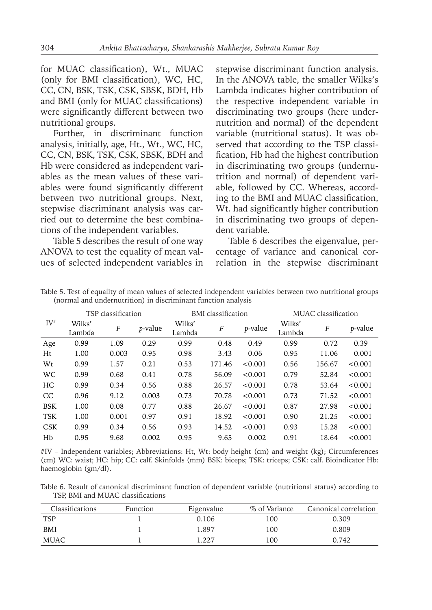for MUAC classification), Wt., MUAC (only for BMI classification), WC, HC, CC, CN, BSK, TSK, CSK, SBSK, BDH, Hb and BMI (only for MUAC classifications) were significantly different between two nutritional groups.

Further, in discriminant function analysis, initially, age, Ht., Wt., WC, HC, CC, CN, BSK, TSK, CSK, SBSK, BDH and Hb were considered as independent variables as the mean values of these variables were found significantly different between two nutritional groups. Next, stepwise discriminant analysis was carried out to determine the best combinations of the independent variables.

Table 5 describes the result of one way ANOVA to test the equality of mean values of selected independent variables in stepwise discriminant function analysis. In the ANOVA table, the smaller Wilks's Lambda indicates higher contribution of the respective independent variable in discriminating two groups (here undernutrition and normal) of the dependent variable (nutritional status). It was observed that according to the TSP classification, Hb had the highest contribution in discriminating two groups (undernutrition and normal) of dependent variable, followed by CC. Whereas, according to the BMI and MUAC classification, Wt. had significantly higher contribution in discriminating two groups of dependent variable.

Table 6 describes the eigenvalue, percentage of variance and canonical correlation in the stepwise discriminant

| Table 5. Test of equality of mean values of selected independent variables between two nutritional groups |  |  |
|-----------------------------------------------------------------------------------------------------------|--|--|
| (normal and undernutrition) in discriminant function analysis                                             |  |  |

|               |                  | TSP classification |                 |                  | <b>BMI</b> classification |         |                  | MUAC classification |                 |
|---------------|------------------|--------------------|-----------------|------------------|---------------------------|---------|------------------|---------------------|-----------------|
| $IV^{\#}$     | Wilks'<br>Lambda | $\boldsymbol{F}$   | <i>p</i> -value | Wilks'<br>Lambda | F                         | p-value | Wilks'<br>Lambda | F                   | <i>p</i> -value |
| Age           | 0.99             | 1.09               | 0.29            | 0.99             | 0.48                      | 0.49    | 0.99             | 0.72                | 0.39            |
| Ht            | 1.00             | 0.003              | 0.95            | 0.98             | 3.43                      | 0.06    | 0.95             | 11.06               | 0.001           |
| Wt            | 0.99             | 1.57               | 0.21            | 0.53             | 171.46                    | < 0.001 | 0.56             | 156.67              | < 0.001         |
| WC            | 0.99             | 0.68               | 0.41            | 0.78             | 56.09                     | < 0.001 | 0.79             | 52.84               | < 0.001         |
| HC            | 0.99             | 0.34               | 0.56            | 0.88             | 26.57                     | < 0.001 | 0.78             | 53.64               | < 0.001         |
| <sub>CC</sub> | 0.96             | 9.12               | 0.003           | 0.73             | 70.78                     | < 0.001 | 0.73             | 71.52               | < 0.001         |
| <b>BSK</b>    | 1.00             | 0.08               | 0.77            | 0.88             | 26.67                     | < 0.001 | 0.87             | 27.98               | < 0.001         |
| <b>TSK</b>    | 1.00             | 0.001              | 0.97            | 0.91             | 18.92                     | < 0.001 | 0.90             | 21.25               | < 0.001         |
| <b>CSK</b>    | 0.99             | 0.34               | 0.56            | 0.93             | 14.52                     | < 0.001 | 0.93             | 15.28               | < 0.001         |
| Hb            | 0.95             | 9.68               | 0.002           | 0.95             | 9.65                      | 0.002   | 0.91             | 18.64               | < 0.001         |

#IV – Independent variables; Abbreviations: Ht, Wt: body height (cm) and weight (kg); Circumferences (cm) WC: waist; HC: hip; CC: calf. Skinfolds (mm) BSK: biceps; TSK: triceps; CSK: calf. Bioindicator Hb: haemoglobin (gm/dl).

Table 6. Result of canonical discriminant function of dependent variable (nutritional status) according to TSP, BMI and MUAC classifications

| <b>Classifications</b> | Function | Eigenvalue | % of Variance | Canonical correlation |
|------------------------|----------|------------|---------------|-----------------------|
| <b>TSP</b>             |          | 0.106      | 100           | 0.309                 |
| BMI                    |          | 1.897      | 100           | 0.809                 |
| MUAC                   |          | . 227      | 100           | 0.742                 |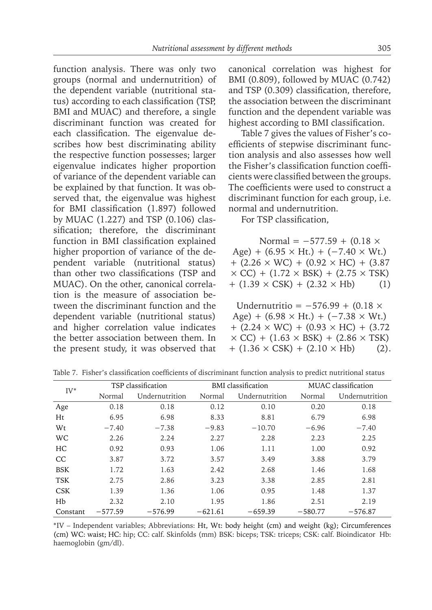function analysis. There was only two groups (normal and undernutrition) of the dependent variable (nutritional status) according to each classification (TSP, BMI and MUAC) and therefore, a single discriminant function was created for each classification. The eigenvalue describes how best discriminating ability the respective function possesses; larger eigenvalue indicates higher proportion of variance of the dependent variable can be explained by that function. It was observed that, the eigenvalue was highest for BMI classification (1.897) followed by MUAC (1.227) and TSP (0.106) classification; therefore, the discriminant function in BMI classification explained higher proportion of variance of the dependent variable (nutritional status) than other two classifications (TSP and MUAC). On the other, canonical correlation is the measure of association between the discriminant function and the dependent variable (nutritional status) and higher correlation value indicates the better association between them. In the present study, it was observed that canonical correlation was highest for BMI (0.809), followed by MUAC (0.742) and TSP (0.309) classification, therefore, the association between the discriminant function and the dependent variable was highest according to BMI classification.

Table 7 gives the values of Fisher's coefficients of stepwise discriminant function analysis and also assesses how well the Fisher's classification function coefficients were classified between the groups. The coefficients were used to construct a discriminant function for each group, i.e. normal and undernutrition.

For TSP classification,

| Normal = $-577.59 + (0.18 \times$                        |     |
|----------------------------------------------------------|-----|
| Age) + $(6.95 \times$ Ht.) + $(-7.40 \times$ Wt.)        |     |
| $+$ (2.26 $\times$ WC) + (0.92 $\times$ HC) + (3.87      |     |
| $\times$ CC) + (1.72 $\times$ BSK) + (2.75 $\times$ TSK) |     |
| $+ (1.39 \times \text{CSK}) + (2.32 \times \text{Hb})$   | (1) |

Undernutritio =  $-576.99 + (0.18 \times$ Age) +  $(6.98 \times Ht.) + (-7.38 \times Wt.)$  $+$  (2.24  $\times$  WC)  $+$  (0.93  $\times$  HC)  $+$  (3.72)  $\times$  CC) + (1.63  $\times$  BSK) + (2.86  $\times$  TSK)  $+$  (1.36  $\times$  CSK) + (2.10  $\times$  Hb) (2).

| $IV^*$     |           | TSP classification |           | <b>BMI</b> classification |           | MUAC classification |
|------------|-----------|--------------------|-----------|---------------------------|-----------|---------------------|
|            | Normal    | Undernutrition     | Normal    | Undernutrition            | Normal    | Undernutrition      |
| Age        | 0.18      | 0.18               | 0.12      | 0.10                      | 0.20      | 0.18                |
| Ht         | 6.95      | 6.98               | 8.33      | 8.81                      | 6.79      | 6.98                |
| Wt         | $-7.40$   | $-7.38$            | $-9.83$   | $-10.70$                  | $-6.96$   | $-7.40$             |
| <b>WC</b>  | 2.26      | 2.24               | 2.27      | 2.28                      | 2.23      | 2.25                |
| HC         | 0.92      | 0.93               | 1.06      | 1.11                      | 1.00      | 0.92                |
| CC         | 3.87      | 3.72               | 3.57      | 3.49                      | 3.88      | 3.79                |
| <b>BSK</b> | 1.72      | 1.63               | 2.42      | 2.68                      | 1.46      | 1.68                |
| <b>TSK</b> | 2.75      | 2.86               | 3.23      | 3.38                      | 2.85      | 2.81                |
| <b>CSK</b> | 1.39      | 1.36               | 1.06      | 0.95                      | 1.48      | 1.37                |
| Hb         | 2.32      | 2.10               | 1.95      | 1.86                      | 2.51      | 2.19                |
| Constant   | $-577.59$ | $-576.99$          | $-621.61$ | $-659.39$                 | $-580.77$ | $-576.87$           |

Table 7. Fisher's classification coefficients of discriminant function analysis to predict nutritional status

\*IV – Independent variables; Abbreviations: Ht, Wt: body height (cm) and weight (kg); Circumferences (cm) WC: waist; HC: hip; CC: calf. Skinfolds (mm) BSK: biceps; TSK: triceps; CSK: calf. Bioindicator Hb: haemoglobin (gm/dl).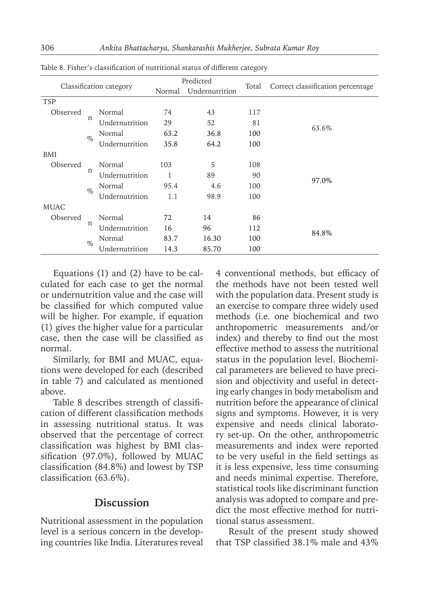|             |              |                         |        | Predicted      |       |                                   |
|-------------|--------------|-------------------------|--------|----------------|-------|-----------------------------------|
|             |              | Classification category | Normal | Undernutrition | Total | Correct classification percentage |
| <b>TSP</b>  |              |                         |        |                |       |                                   |
| Observed    |              | Normal                  | 74     | 43             | 117   |                                   |
|             | n            | Undernutrition          | 29     | 52             | 81    | 63.6%                             |
|             | $\%$         | Normal                  | 63.2   | 36.8           | 100   |                                   |
|             |              | Undernutrition          | 35.8   | 64.2           | 100   |                                   |
| BMI         |              |                         |        |                |       |                                   |
| Observed    |              | Normal                  | 103    | 5              | 108   |                                   |
|             | n            | Undernutrition          | 1      | 89             | 90    | 97.0%                             |
|             | $\%$         | Normal                  | 95.4   | 4.6            | 100   |                                   |
|             |              | Undernutrition          | 1.1    | 98.9           | 100   |                                   |
| <b>MUAC</b> |              |                         |        |                |       |                                   |
| Observed    | $\mathsf{n}$ | Normal                  | 72     | 14             | 86    |                                   |
|             |              | Undernutrition          | 16     | 96             | 112   | 84.8%                             |
|             | $\%$         | Normal                  | 83.7   | 16.30          | 100   |                                   |
|             |              | Undernutrition          | 14.3   | 85.70          | 100   |                                   |

Table 8. Fisher's classification of nutritional status of different category

Equations (1) and (2) have to be calculated for each case to get the normal or undernutrition value and the case will be classified for which computed value will be higher. For example, if equation (1) gives the higher value for a particular case, then the case will be classified as normal.

Similarly, for BMI and MUAC, equations were developed for each (described in table 7) and calculated as mentioned above.

Table 8 describes strength of classification of different classification methods in assessing nutritional status. It was observed that the percentage of correct classification was highest by BMI classification (97.0%), followed by MUAC classification (84.8%) and lowest by TSP classification (63.6%).

#### **Discussion**

Nutritional assessment in the population level is a serious concern in the developing countries like India. Literatures reveal 4 conventional methods, but efficacy of the methods have not been tested well with the population data. Present study is an exercise to compare three widely used methods (i.e. one biochemical and two anthropometric measurements and/or index) and thereby to find out the most effective method to assess the nutritional status in the population level. Biochemical parameters are believed to have precision and objectivity and useful in detecting early changes in body metabolism and nutrition before the appearance of clinical signs and symptoms. However, it is very expensive and needs clinical laboratory set-up. On the other, anthropometric measurements and index were reported to be very useful in the field settings as it is less expensive, less time consuming and needs minimal expertise. Therefore, statistical tools like discriminant function analysis was adopted to compare and predict the most effective method for nutritional status assessment.

Result of the present study showed that TSP classified 38.1% male and 43%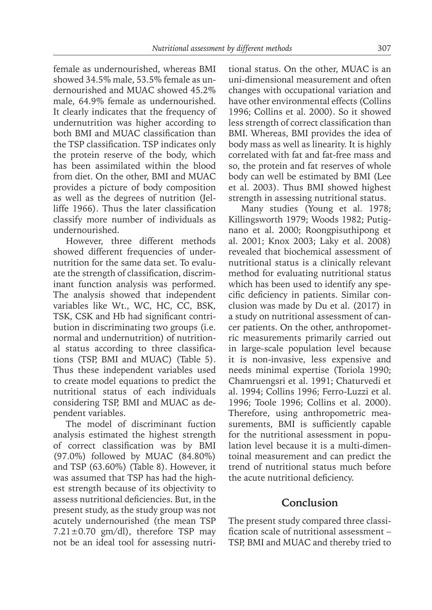female as undernourished, whereas BMI showed 34.5% male, 53.5% female as undernourished and MUAC showed 45.2% male, 64.9% female as undernourished. It clearly indicates that the frequency of undernutrition was higher according to both BMI and MUAC classification than the TSP classification. TSP indicates only the protein reserve of the body, which has been assimilated within the blood from diet. On the other, BMI and MUAC provides a picture of body composition as well as the degrees of nutrition (Jelliffe 1966). Thus the later classification classify more number of individuals as undernourished.

However, three different methods showed different frequencies of undernutrition for the same data set. To evaluate the strength of classification, discriminant function analysis was performed. The analysis showed that independent variables like Wt., WC, HC, CC, BSK, TSK, CSK and Hb had significant contribution in discriminating two groups (i.e. normal and undernutrition) of nutritional status according to three classifications (TSP, BMI and MUAC) (Table 5). Thus these independent variables used to create model equations to predict the nutritional status of each individuals considering TSP, BMI and MUAC as dependent variables.

The model of discriminant fuction analysis estimated the highest strength of correct classification was by BMI (97.0%) followed by MUAC (84.80%) and TSP (63.60%) (Table 8). However, it was assumed that TSP has had the highest strength because of its objectivity to assess nutritional deficiencies. But, in the present study, as the study group was not acutely undernourished (the mean TSP  $7.21 \pm 0.70$  gm/dl), therefore TSP may not be an ideal tool for assessing nutritional status. On the other, MUAC is an uni-dimensional measurement and often changes with occupational variation and have other environmental effects (Collins 1996; Collins et al. 2000). So it showed less strength of correct classification than BMI. Whereas, BMI provides the idea of body mass as well as linearity. It is highly correlated with fat and fat-free mass and so, the protein and fat reserves of whole body can well be estimated by BMI (Lee et al. 2003). Thus BMI showed highest strength in assessing nutritional status.

Many studies (Young et al. 1978; Killingsworth 1979; Woods 1982; Putignano et al. 2000; Roongpisuthipong et al. 2001; Knox 2003; Laky et al. 2008) revealed that biochemical assessment of nutritional status is a clinically relevant method for evaluating nutritional status which has been used to identify any specific deficiency in patients. Similar conclusion was made by Du et al. (2017) in a study on nutritional assessment of cancer patients. On the other, anthropometric measurements primarily carried out in large-scale population level because it is non-invasive, less expensive and needs minimal expertise (Toriola 1990; Chamruengsri et al. 1991; Chaturvedi et al. 1994; Collins 1996; Ferro-Luzzi et al. 1996; Toole 1996; Collins et al. 2000). Therefore, using anthropometric measurements, BMI is sufficiently capable for the nutritional assessment in population level because it is a multi-dimentoinal measurement and can predict the trend of nutritional status much before the acute nutritional deficiency.

## **Conclusion**

The present study compared three classification scale of nutritional assessment – TSP, BMI and MUAC and thereby tried to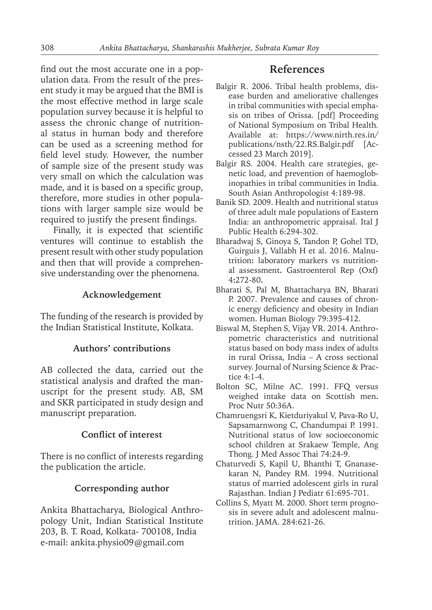find out the most accurate one in a population data. From the result of the present study it may be argued that the BMI is the most effective method in large scale population survey because it is helpful to assess the chronic change of nutritional status in human body and therefore can be used as a screening method for field level study. However, the number of sample size of the present study was very small on which the calculation was made, and it is based on a specific group, therefore, more studies in other populations with larger sample size would be required to justify the present findings.

Finally, it is expected that scientific ventures will continue to establish the present result with other study population and then that will provide a comprehensive understanding over the phenomena.

## **Acknowledgement**

The funding of the research is provided by the Indian Statistical Institute, Kolkata.

## **Authors' contributions**

AB collected the data, carried out the statistical analysis and drafted the manuscript for the present study. AB, SM and SKR participated in study design and manuscript preparation.

## **Conflict of interest**

There is no conflict of interests regarding the publication the article.

## **Corresponding author**

Ankita Bhattacharya, Biological Anthropology Unit, Indian Statistical Institute 203, B. T. Road, Kolkata- 700108, India e-mail: ankita.physio09@gmail.com

## **References**

- Balgir R. 2006. Tribal health problems, disease burden and ameliorative challenges in tribal communities with special emphasis on tribes of Orissa. [pdf] Proceeding of National Symposium on Tribal Health*.* Available at: https://www.nirth.res.in/ publications/nsth/22.RS.Balgir.pdf [Accessed 23 March 2019].
- Balgir RS. 2004. Health care strategies, genetic load, and prevention of haemoglobinopathies in tribal communities in India. South Asian Anthropologist 4:189-98.
- Banik SD. 2009. Health and nutritional status of three adult male populations of Eastern India: an anthropometric appraisal. Ital J Public Health 6:294-302.
- Bharadwaj S, Ginoya S, Tandon P, Gohel TD, Guirguis J, Vallabh H et al. 2016. Malnutrition**:** laboratory markers vs nutritional assessment**.** Gastroenterol Rep (Oxf) 4**:**272-80**.**
- Bharati S, Pal M, Bhattacharya BN, Bharati P. 2007. Prevalence and causes of chronic energy deficiency and obesity in Indian women. Human Biology 79:395-412.
- Biswal M, Stephen S, Vijay VR. 2014. Anthropometric characteristics and nutritional status based on body mass index of adults in rural Orissa, India – A cross sectional survey. Journal of Nursing Science & Practice 4:1-4.
- Bolton SC, Milne AC. 1991. FFQ versus weighed intake data on Scottish men**.**  Proc Nutr 50:36A.
- Chamruengsri K, Kietduriyakul V, Pava-Ro U, Sapsamarnwong C, Chandumpai P. 1991. Nutritional status of low socioeconomic school children at Srakaew Temple, Ang Thong. J Med Assoc Thai 74:24-9.
- Chaturvedi S, Kapil U, Bhanthi T, Gnanasekaran N, Pandey RM. 1994. Nutritional status of married adolescent girls in rural Rajasthan. Indian J Pediatr 61:695-701.
- Collins S, Myatt M. 2000. Short term prognosis in severe adult and adolescent malnutrition. JAMA. 284:621-26.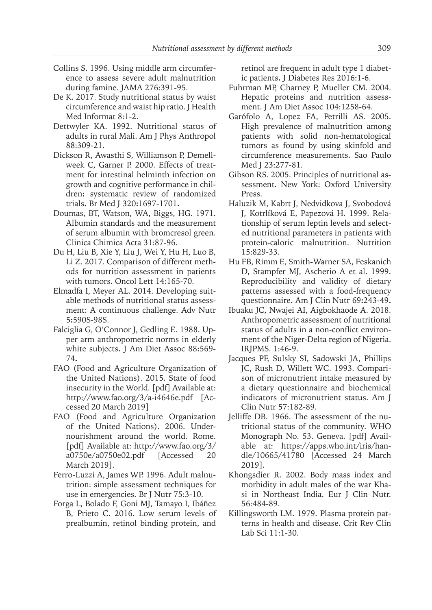- Collins S. 1996. Using middle arm circumference to assess severe adult malnutrition during famine. JAMA 276:391-95.
- De K. 2017. Study nutritional status by waist circumference and waist hip ratio. J Health Med Informat 8:1-2.
- Dettwyler KA. 1992. Nutritional status of adults in rural Mali. Am J Phys Anthropol 88:309-21.
- Dickson R, Awasthi S, Williamson P, Demellweek C, Garner P. 2000. Effects of treatment for intestinal helminth infection on growth and cognitive performance in children**:** systematic review of randomized trials**.** Br Med J 320**:**1697-1701**.**
- Doumas, BT, Watson, WA, Biggs, HG. 1971. Albumin standards and the measurement of serum albumin with bromcresol green. Clinica Chimica Acta 31:87-96.
- Du H, Liu B, Xie Y, Liu J, Wei Y, Hu H, Luo B, Li Z. 2017. Comparison of different methods for nutrition assessment in patients with tumors. Oncol Lett 14:165-70.
- Elmadfa I, Meyer AL. 2014. Developing suitable methods of nutritional status assessment: A continuous challenge. Adv Nutr 5**:**590S-98S.
- Falciglia G, O'Connor J, Gedling E. 1988. Upper arm anthropometric norms in elderly white subjects**.** J Am Diet Assoc 88**:**569- 74**.**
- FAO (Food and Agriculture Organization of the United Nations). 2015. State of food insecurity in the World. [pdf] Available at: http://www.fao.org/3/a-i4646e.pdf [Accessed 20 March 2019]
- FAO (Food and Agriculture Organization of the United Nations). 2006. Undernourishment around the world. Rome. [pdf] Available at: http://www.fao.org/3/ a0750e/a0750e02.pdf [Accessed 20 March 2019].
- Ferro-Luzzi A, James WP. 1996. Adult malnutrition: simple assessment techniques for use in emergencies. Br J Nutr 75:3-10.
- Forga L, Bolado F, Goni MJ, Tamayo I, Ibáñez B, Prieto C. 2016. Low serum levels of prealbumin, retinol binding protein, and

retinol are frequent in adult type 1 diabetic patients**.** J Diabetes Res 2016:1-6.

- Fuhrman MP, Charney P, Mueller CM. 2004. Hepatic proteins and nutrition assessment. J Am Diet Assoc 104:1258-64.
- Garófolo A, Lopez FA, Petrilli AS. 2005. High prevalence of malnutrition among patients with solid non-hematological tumors as found by using skinfold and circumference measurements. Sao Paulo Med J 23:277-81.
- Gibson RS. 2005. Principles of nutritional assessment. New York: Oxford University Press.
- Haluzik M, Kabrt J, Nedvidkova J, Svobodová J, Kotrlíková E, Papezová H. 1999. Relationship of serum leptin levels and selected nutritional parameters in patients with protein-caloric malnutrition. Nutrition 15:829-33.
- Hu FB, Rimm E, Smith**-**Warner SA, Feskanich D, Stampfer MJ, Ascherio A et al. 1999. Reproducibility and validity of dietary patterns assessed with a food**-**frequency questionnaire**.** Am J Clin Nutr 69**:**243-49**.**
- Ibuaku JC, Nwajei AI, Aigbokhaode A. 2018. Anthropometric assessment of nutritional status of adults in a non-conflict environment of the Niger-Delta region of Nigeria. IRJPMS. 1:46-9.
- Jacques PF, Sulsky SI, Sadowski JA, Phillips JC, Rush D, Willett WC. 1993. Comparison of micronutrient intake measured by a dietary questionnaire and biochemical indicators of micronutrient status. Am J Clin Nutr 57:182-89.
- Jelliffe DB. 1966. The assessment of the nutritional status of the community*.* WHO Monograph No. 53. Geneva. [pdf] Available at: https://apps.who.int/iris/handle/10665/41780 [Accessed 24 March 2019].
- Khongsdier R. 2002. Body mass index and morbidity in adult males of the war Khasi in Northeast India. Eur J Clin Nutr. 56:484-89.
- Killingsworth LM. 1979. Plasma protein patterns in health and disease. Crit Rev Clin Lab Sci 11:1-30.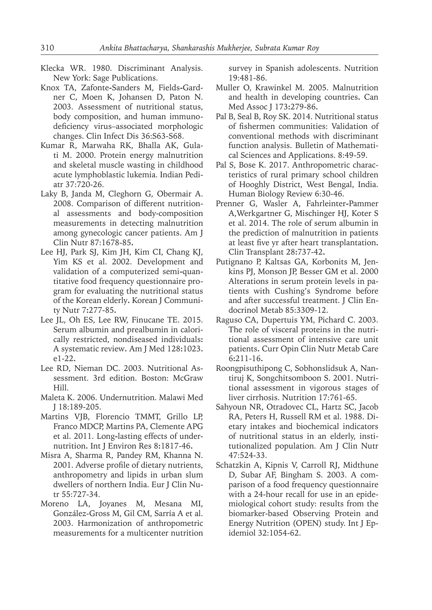- Klecka WR. 1980. Discriminant Analysis. New York: Sage Publications.
- Knox TA, Zafonte**-**Sanders M, Fields**-**Gardner C, Moen K, Johansen D, Paton N. 2003. Assessment of nutritional status, body composition, and human immunodeficiency virus–associated morphologic changes. Clin Infect Dis 36:S63-S68.
- Kumar R, Marwaha RK, Bhalla AK, Gulati M. 2000. Protein energy malnutrition and skeletal muscle wasting in childhood acute lymphoblastic lukemia. Indian Pediatr 37:720-26.
- Laky B, Janda M, Cleghorn G, Obermair A. 2008. Comparison of different nutritional assessments and body-composition measurements in detecting malnutrition among gynecologic cancer patients. Am J Clin Nutr 87:1678-85**.**
- Lee HJ, Park SJ, Kim JH, Kim CI, Chang KJ, Yim KS et al. 2002. Development and validation of a computerized semi**-**quantitative food frequency questionnaire program for evaluating the nutritional status of the Korean elderly**.** Korean J Community Nutr 7**:**277-85**.**
- Lee JL, Oh ES, Lee RW, Finucane TE. 2015. Serum albumin and prealbumin in calorically restricted, nondiseased individuals**:**  A systematic review**.** Am J Med 128**:**1023**.** e1-22**.**
- Lee RD, Nieman DC. 2003. Nutritional Assessment. 3rd edition. Boston: McGraw Hill.
- Maleta K. 2006. Undernutrition. Malawi Med J 18:189-205.
- Martins VJB, Florencio TMMT, Grillo LP, Franco MDCP, Martins PA, Clemente APG et al. 2011. Long**-**lasting effects of undernutrition**.** Int J Environ Res 8**:**1817-46**.**
- Misra A, Sharma R, Pandey RM, Khanna N. 2001. Adverse profile of dietary nutrients, anthropometry and lipids in urban slum dwellers of northern India. Eur J Clin Nutr 55:727-34.
- Moreno LA, Joyanes M, Mesana MI, González-Gross M, Gil CM, Sarría A et al. 2003. Harmonization of anthropometric measurements for a multicenter nutrition

survey in Spanish adolescents. Nutrition 19:481-86.

- Muller O, Krawinkel M. 2005. Malnutrition and health in developing countries**.** Can Med Assoc J 173**:**279-86**.**
- Pal B, Seal B, Roy SK. 2014. Nutritional status of fishermen communities: Validation of conventional methods with discriminant function analysis. Bulletin of Mathematical Sciences and Applications. 8:49-59.
- Pal S, Bose K. 2017. Anthropometric characteristics of rural primary school children of Hooghly District, West Bengal, India. Human Biology Review 6:30-46.
- Prenner G, Wasler A, Fahrleinter**-**Pammer A,Werkgartner G, Mischinger HJ, Koter S et al. 2014. The role of serum albumin in the prediction of malnutrition in patients at least five yr after heart transplantation**.**  Clin Transplant 28**:**737-42**.**
- Putignano P, Kaltsas GA, Korbonits M, Jenkins PJ, Monson JP, Besser GM et al. 2000 Alterations in serum protein levels in patients with Cushing's Syndrome before and after successful treatment. J Clin Endocrinol Metab 85:3309-12.
- Raguso CA, Dupertuis YM, Pichard C. 2003. The role of visceral proteins in the nutritional assessment of intensive care unit patients**.** Curr Opin Clin Nutr Metab Care 6**:**211-16**.**
- Roongpisuthipong C, Sobhonslidsuk A, Nantiruj K, Songchitsomboon S. 2001. Nutritional assessment in vigorous stages of liver cirrhosis. Nutrition 17:761-65.
- Sahyoun NR, Otradovec CL, Hartz SC, Jacob RA, Peters H, Russell RM et al. 1988. Dietary intakes and biochemical indicators of nutritional status in an elderly, institutionalized population. Am J Clin Nutr 47:524-33.
- Schatzkin A, Kipnis V, Carroll RJ, Midthune D, Subar AF, Bingham S. 2003. A comparison of a food frequency questionnaire with a 24-hour recall for use in an epidemiological cohort study: results from the biomarker-based Observing Protein and Energy Nutrition (OPEN) study. Int J Epidemiol 32:1054-62.